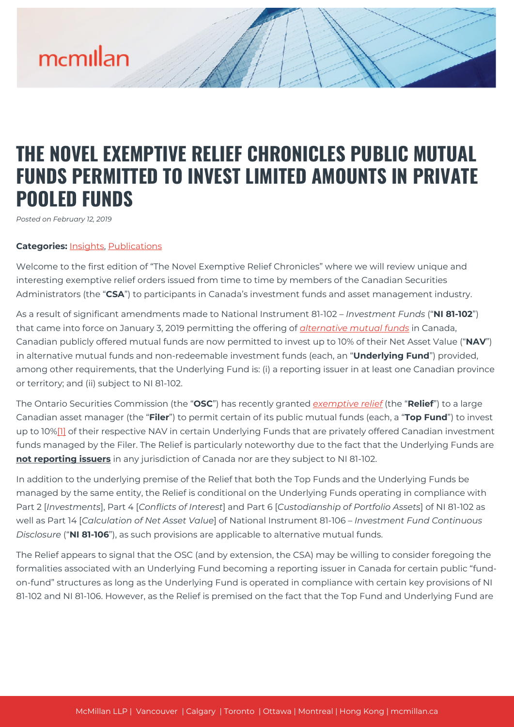## mcmillan

## **THE NOVEL EXEMPTIVE RELIEF CHRONICLES PUBLIC MUTUAL FUNDS PERMITTED TO INVEST LIMITED AMOUNTS IN PRIVATE POOLED FUNDS**

*Posted on February 12, 2019*

## **Categories:** [Insights,](https://mcmillan.ca/insights/) [Publications](https://mcmillan.ca/insights/publications/)

Welcome to the first edition of "The Novel Exemptive Relief Chronicles" where we will review unique and interesting exemptive relief orders issued from time to time by members of the Canadian Securities Administrators (the "**CSA**") to participants in Canada's investment funds and asset management industry.

As a result of significant amendments made to National Instrument 81-102 – *Investment Funds* ("**NI 81-102**") that came into force on January 3, 2019 permitting the offering of *[alternative mutual funds](https://mcmillan.ca/insights/liquid-alternatives-now-a-reality-alternative-mutual-funds-regime-scheduled-to-come-into-force-january-3-2019/)* in Canada, Canadian publicly offered mutual funds are now permitted to invest up to 10% of their Net Asset Value ("**NAV**") in alternative mutual funds and non-redeemable investment funds (each, an "**Underlying Fund**") provided, among other requirements, that the Underlying Fund is: (i) a reporting issuer in at least one Canadian province or territory; and (ii) subject to NI 81-102.

The Ontario Securities Commission (the "**OSC**") has recently granted *[exemptive relief](https://www.osc.gov.on.ca/en/SecuritiesLaw_ord_20180913_212_bmo-asset.htm)* (the "**Relief**") to a large Canadian asset manager (the "**Filer**") to permit certain of its public mutual funds (each, a "**Top Fund**") to invest up to 10%<sup>[1]</sup> of their respective NAV in certain Underlying Funds that are privately offered Canadian investment funds managed by the Filer. The Relief is particularly noteworthy due to the fact that the Underlying Funds are **not reporting issuers** in any jurisdiction of Canada nor are they subject to NI 81-102.

In addition to the underlying premise of the Relief that both the Top Funds and the Underlying Funds be managed by the same entity, the Relief is conditional on the Underlying Funds operating in compliance with Part 2 [*Investments*], Part 4 [*Conflicts of Interest*] and Part 6 [*Custodianship of Portfolio Assets*] of NI 81-102 as well as Part 14 [*Calculation of Net Asset Value*] of National Instrument 81-106 – *Investment Fund Continuous Disclosure* ("**NI 81-106**"), as such provisions are applicable to alternative mutual funds.

The Relief appears to signal that the OSC (and by extension, the CSA) may be willing to consider foregoing the formalities associated with an Underlying Fund becoming a reporting issuer in Canada for certain public "fundon-fund" structures as long as the Underlying Fund is operated in compliance with certain key provisions of NI 81-102 and NI 81-106. However, as the Relief is premised on the fact that the Top Fund and Underlying Fund are